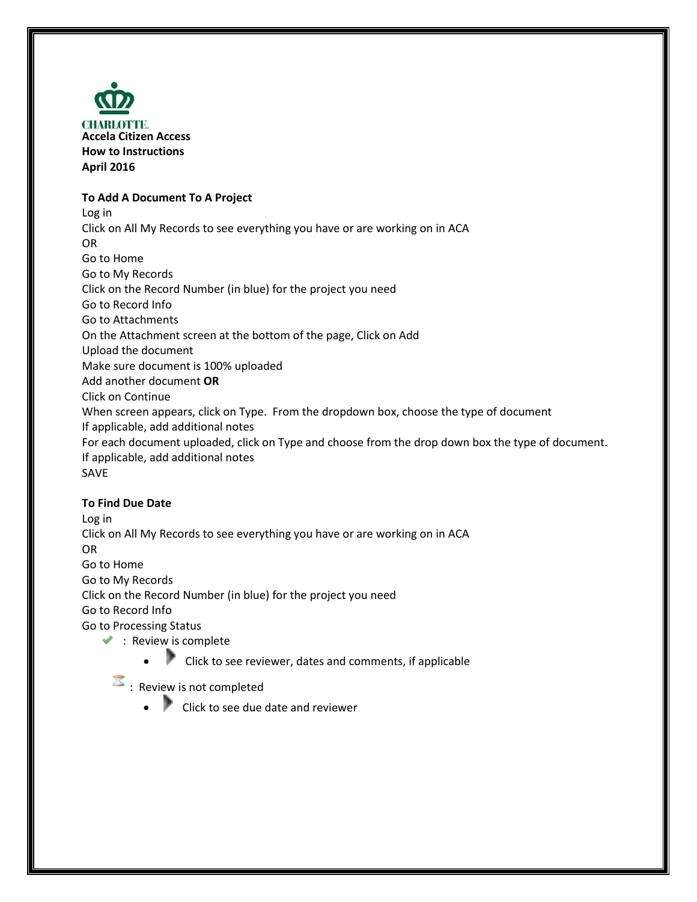

# **To Add A Document To A Project**

Log in Click on All My Records to see everything you have or are working on in ACA OR Go to Home Go to My Records Click on the Record Number (in blue) for the project you need Go to Record Info Go to Attachments On the Attachment screen at the bottom of the page, Click on Add Upload the document Make sure document is 100% uploaded Add another document **OR** Click on Continue When screen appears, click on Type. From the dropdown box, choose the type of document If applicable, add additional notes For each document uploaded, click on Type and choose from the drop down box the type of document. If applicable, add additional notes SAVE

## **To Find Due Date**

Log in Click on All My Records to see everything you have or are working on in ACA OR Go to Home Go to My Records Click on the Record Number (in blue) for the project you need Go to Record Info Go to Processing Status  $\blacktriangleright$  : Revie[w is c](javascript:void(0))omplete

- - Click to see reviewer, dates and comments, if applicable
- **E**: Review is not completed
	- Click to see due date and reviewer